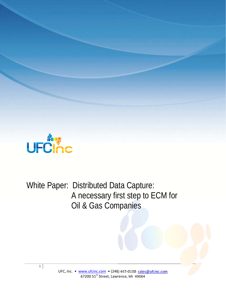

White Paper: Distributed Data Capture: A necessary first step to ECM for Oil & Gas Companies

**1**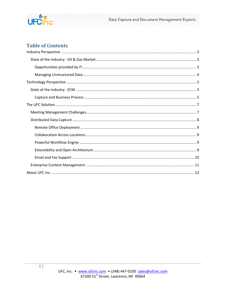

# **Table of Contents**

 $\overline{2}$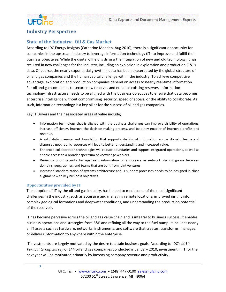

# **Industry Perspective**

## **State of the Industry: Oil & Gas Market**

According to IDC Energy Insights (Catherine Madden, Aug 2010), there is a significant opportunity for companies in the upstream industry to leverage information technology (IT) to improve and fulfill their business objectives. While the digital oilfield is driving the integration of new and old technology, it has resulted in new challenges for the industry, including an explosion in exploration and production (E&P) data. Of course, the nearly exponential growth in data has been exacerbated by the global structure of oil and gas companies and the human capital challenge within the industry. To achieve competitive advantage, exploration and production companies depend on access to nearly real‐time information. For oil and gas companies to secure new reserves and enhance existing reserves, information technology infrastructure needs to be aligned with the business objectives to ensure that data becomes enterprise intelligence without compromising security, speed of access, or the ability to collaborate. As such, information technology is a key pillar for the success of oil and gas companies.

Key IT Drivers and their associated areas of value include;

- Information technology that is aligned with the business challenges can improve visibility of operations, increase efficiency, improve the decision‐making process, and be a key enabler of improved profits and revenue.
- A solid data management foundation that supports sharing of information across domain teams and dispersed geographic resources will lead to better understanding and increased value.
- Enhanced collaboration technologies will reduce boundaries and support integrated operations, as well as enable access to a broader spectrum of knowledge workers.
- Demands upon security for upstream information only increase as network sharing grows between domains, geographies, and teams that are built from joint ventures.
- Increased standardization of systems architecture and IT support processes needs to be designed in close alignment with key business objectives.

### **Opportunities provided by IT**

The adoption of IT by the oil and gas industry, has helped to meet some of the most significant challenges in the industry, such as accessing and managing remote locations, improved insight into complex geological formations and deepwater conditions, and understanding the production potential of the reservoir.

IT has become pervasive across the oil and gas value chain and is integral to business success. It enables business operations and strategies from E&P and refining all the way to the fuel pump. It includes nearly all IT assets such as hardware, networks, instruments, and software that creates, transforms, manages, or delivers information to anywhere within the enterprise.

IT investments are largely motivated by the desire to attain business goals. According to IDC's *2010 Vertical Group Survey* of 144 oil and gas companies conducted in January 2010, investment in IT for the next year will be motivated primarily by increasing company revenue and productivity.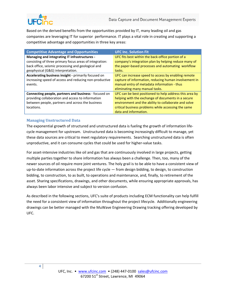

Based on the derived benefits from the opportunities provided by IT, many leading oil and gas companies are leveraging IT for superior performance. IT plays a vital role in creating and supporting a competitive advantage and opportunities in three key areas:

| <b>Competitive Advantage and Opportunities</b>          | <b>UFC Inc. Solution Fit</b>                            |
|---------------------------------------------------------|---------------------------------------------------------|
| Managing and integrating IT infrastructures -           | UFC fits best within the back-office portion of a       |
| consisting of three primary focus areas of integration: | company's integration plan by helping reduce many of    |
| back office, seismic processing and geological and      | the paper-based processes and automating workflow       |
| geophysical (G&G) interpretation.                       | tasks.                                                  |
| Accelerating business insight - primarily focused on    | UFC can increase speed to access by enabling remote     |
| increasing speed of access and reducing non-productive  | capture of information, reducing human involvement in   |
| events.                                                 | manual entry of metadata information - thus             |
|                                                         | eliminating many manual tasks.                          |
| Connecting people, partners and business - focused on   | UFC can be best positioned to help address this area by |
| providing collaboration and access to information       | helping with the exchange of documents in a secure      |
| between people, partners and across the business        | environment and the ability to collaborate and solve    |
| locations.                                              | critical business problems while accessing the same     |
|                                                         | data and information.                                   |

### **Managing Unstructured Data**

The exponential growth of structured and unstructured data is fueling the growth of information life‐ cycle management for upstream. Unstructured data is becoming increasingly difficult to manage, yet these data sources are critical to meet regulatory requirements. Searching unstructured data is often unproductive, and it can consume cycles that could be used for higher‐value tasks.

For asset-intensive industries like oil and gas that are continuously involved in large projects, getting multiple parties together to share information has always been a challenge. Then, too, many of the newer sources of oil require more joint ventures. The holy grail is to be able to have a consistent view of up-to-date information across the project life cycle — from design bidding, to design, to construction bidding, to construction, to as built, to operations and maintenance, and, finally, to retirement of the asset. Sharing specifications, drawings, and other documents, while ensuring appropriate approvals, has always been labor intensive and subject to version confusion.

As described in the following sections, UFC's suite of products including ECM functionality can help fulfill the need for a consistent view of information throughout the project lifecycle. Additionally engineering drawings can be better managed with the MuWave Engineering Drawing tracking offering developed by UFC.

**4**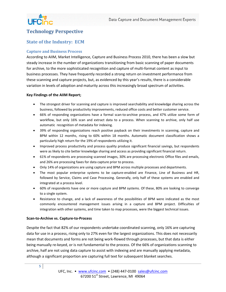

# **Technology Perspective**

## **State of the Industry: ECM**

#### **Capture and Business Process**

According to AIIM, Market Intelligence, Capture and Business Process 2010, there has been a slow but steady increase in the number of organizations transitioning from basic scanning of paper documents for archive, to the more sophisticated recognition and capture of multi-format content as input to business processes. They have frequently recorded a strong return on investment performance from these scanning and capture projects, but, as evidenced by this year's results, there is a considerable variation in levels of adoption and maturity across this increasingly broad spectrum of activities.

#### **Key Findings of the AIIM Report;**

- The strongest driver for scanning and capture is improved searchability and knowledge sharing across the business, followed by productivity improvements, reduced office costs and better customer service.
- 66% of responding organizations have a formal scan-to-archive process, and 47% utilize some form of workflow, but only 16% scan and extract data to a process. When scanning to archive, only half use automatic recognition of metadata for indexing.
- 39% of responding organizations reach positive payback on their investments in scanning, capture and BPM within 12 months, rising to 60% within 18 months. Automatic document classification shows a particularly high return for the 19% of respondents utilizing it.
- Improved process productivity and process quality produce significant financial savings, but respondents were as likely to cite better knowledge sharing and access as providing significant financial return.
- 61% of respondents are processing scanned images, 30% are processing electronic Office files and emails, and 26% are processing faxes for data capture prior to process.
- Only 14% of organizations are using capture and BPM across multiple processes and departments.
- The most popular enterprise systems to be capture‐enabled are Finance, Line of Business and HR, followed by Service, Claims and Case Processing. Generally, only half of these systems are enabled and integrated at a process level.
- 60% of respondents have one or more capture and BPM systems. Of these, 80% are looking to converge to a single system.
- Resistance to change, and a lack of awareness of the possibilities of BPM were indicated as the most commonly encountered management issues arising in a capture and BPM project. Difficulties of integration with other systems, and time taken to map processes, were the biggest technical issues.

#### **Scan‐to‐Archive vs. Capture‐to‐Process**

Despite the fact that 82% of our respondents undertake coordinated scanning, only 16% are capturing data for use in a process, rising only to 27% even for the largest organizations. This does not necessarily mean that documents and forms are not being work‐flowed through processes, but that data is either being manually re‐keyed, or is not fundamental to the process. Of the 66% of organizations scanning to archive, half are not using data capture to assist with indexing and are manually applying metadata, although a significant proportion are capturing full text for subsequent blanket searches.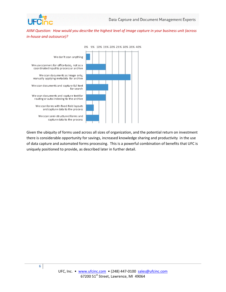

AIIM Question: How would you describe the highest level of image capture in your business unit (across *in‐house and outsource)?*



Given the ubiquity of forms used across all sizes of organization, and the potential return on investment there is considerable opportunity for savings, increased knowledge sharing and productivity in the use of data capture and automated forms processing. This is a powerful combination of benefits that UFC is uniquely positioned to provide, as described later in further detail.

**6**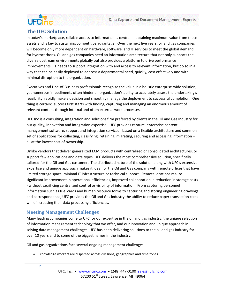

# **The UFC Solution**

In today's marketplace, reliable access to information is central in obtaining maximum value from these assets and is key to sustaining competitive advantage. Over the next five years, oil and gas companies will become only more dependent on hardware, software, and IT services to meet the global demand for hydrocarbons. Oil and gas companies need an information architecture that not only supports the diverse upstream environments globally but also provides a platform to drive performance improvements. IT needs to support integration with and access to relevant information, but do so in a way that can be easily deployed to address a departmental need, quickly, cost effectively and with minimal disruption to the organization.

Executives and Line‐of‐Business professionals recognize the value in a holistic enterprise‐wide solution, yet numerous impediments often hinder an organization's ability to accurately assess the undertaking's feasibility, rapidly make a decision and smoothly manage the deployment to successful completion. One thing is certain: success first starts with finding, capturing and managing an enormous amount of relevant content through internal and often external work processes.

UFC Inc is a consulting, integration and solutions firm preferred by clients in the Oil and Gas Industry for our quality, innovation and integration expertise. UFC provides capture, enterprise content management software, support and integration services ‐ based on a flexible architecture and common set of applications for collecting, classifying, retaining, migrating, securing and accessing information – all at the lowest cost of ownership.

Unlike vendors that deliver generalized ECM products with centralized or consolidated architectures, or support few applications and data types, UFC delivers the most comprehensive solution, specifically tailored for the Oil and Gas customer. The distributed nature of the solution along with UFC's extensive expertise and unique approach makes it ideal for the Oil and Gas company with remote offices that have limited storage space, minimal IT infrastructure or technical support. Remote locations realize significant improvement in operational efficiencies, improved collaboration, a reduction in storage costs ‐ without sacrificing centralized control or visibility of information. From capturing personnel information such as fuel cards and human resource forms to capturing and storing engineering drawings and correspondence, UFC provides the Oil and Gas industry the ability to reduce paper transaction costs while increasing their data processing efficiencies.

## **Meeting Management Challenges**

Many leading companies come to UFC for our expertise in the oil and gas industry, the unique selection of information management technology that we offer, and our innovation and unique approach in solving data management challenges. UFC has been delivering solutions to the oil and gas industry for over 10 years and to some of the biggest names in the industry.

Oil and gas organizations face several ongoing management challenges.

knowledge workers are dispersed across divisions, geographies and time zones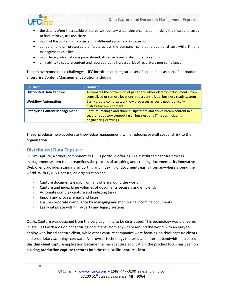

- the data is often inaccessible or stored without any underlying organization, making it difficult and costly to find, retrieve, use and share
- much of the content is inconsistent, in different systems or in paper form
- adhoc or one-off processes proliferate across the company, generating additional cost while limiting management visibility
- much legacy information is paper-based, stored in boxes in distributed locations
- an inability to capture content and records greatly increases risk of regulatory non‐compliance

To help overcome these challenges, UFC Inc offers an integrated set of capabilities as part of a broader Enterprise Content Management Solution including;

| <b>Solution</b>                      | <b>Benefit</b>                                                                                                                                                 |
|--------------------------------------|----------------------------------------------------------------------------------------------------------------------------------------------------------------|
| <b>Distributed Data Capture</b>      | Automates the conversion of paper and other electronic documents from<br>centralized or remote locations into a centralized, business-ready system             |
| <b>Workflow Automation</b>           | Easily create complex workflow processes across a geographically<br>distributed environment                                                                    |
| <b>Enterprise Content Management</b> | Capture, manage and share all upstream and downstream content in a<br>secure repository supporting all business and IT needs including<br>engineering drawings |

These products help accelerate knowledge management, while reducing overall cost and risk to the organization.

## **Distributed Data Capture**

Quillix Capture, a critical component to UFC's portfolio offering, is a distributed capture process management system that streamlines the process of acquiring and creating documents. Its innovative Web Client provides scanning, importing and indexing of documents easily from anywhere around the world. With Quillix Capture, an organization can;

- Capture documents easily from anywhere around the world
- Capture and index large volumes of documents securely and efficiently
- Automate complex capture and indexing tasks
- Import and process email and faxes
- Ensure corporate compliance by managing and monitoring incoming documents
- Easily integrate with third‐party and legacy systems

Quillix Capture was designed from the very beginning to be distributed. This technology was pioneered in late 1999 with a vision of capturing documents from anywhere around the world with an easy to deploy web-based capture client, while other capture companies were focusing on thick capture clients and proprietary scanning hardware. As browser technology matured and internet bandwidth increased, this **thin client** capture application became the main capture application, the product focus has been on building **production capture features** into the thin Quillix Capture Client.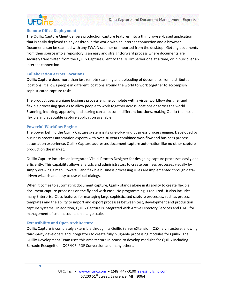

#### **Remote Office Deployment**

The Quillix Capture Client delivers production capture features into a thin browser‐based application that is easily deployed to any desktop in the world with an internet connection and a browser. Documents can be scanned with any TWAIN scanner or imported from the desktop. Getting documents from their source into a repository is an easy and straightforward process where documents are securely transmitted from the Quillix Capture Client to the Quillix Server one at a time, or in bulk over an internet connection.

### **Collaboration Across Locations**

Quillix Capture does more than just remote scanning and uploading of documents from distributed locations, it allows people in different locations around the world to work together to accomplish sophisticated capture tasks.

The product uses a unique business process engine complete with a visual workflow designer and flexible processing queues to allow people to work together across locations or across the world. Scanning, indexing, approving and storing can all occur in different locations, making Quillix the most flexible and adaptable capture application available.

### **Powerful Workflow Engine**

The power behind the Quillix Capture system is its one‐of‐a‐kind business process engine. Developed by business process automation experts with over 30 years combined workflow and business process automation experience, Quillix Capture addresses document capture automation like no other capture product on the market.

Quillix Capture includes an integrated Visual Process Designer for designing capture processes easily and efficiently. This capability allows analysts and administrators to create business processes visually by simply drawing a map. Powerful and flexible business processing rules are implemented through datadriven wizards and easy to use visual dialogs.

When it comes to automating document capture, Quillix stands alone in its ability to create flexible document capture processes on the fly and with ease. No programming is required. It also includes many Enterprise Class features for managing large sophisticated capture processes, such as process templates and the ability to import and export processes between test, development and production capture systems. In addition, Quillix Capture is integrated with Active Directory Services and LDAP for management of user accounts on a large scale.

### **Extensibility and Open Architecture**

Quillix Capture is completely extensible through its Quillix Server eXtension (QSX) architecture, allowing third‐party developers and integrators to create fully plug‐able processing modules for Quillix. The Quillix Development Team uses this architecture in‐house to develop modules for Quillix including Barcode Recognition, OCR/ICR, PDF Conversion and many others.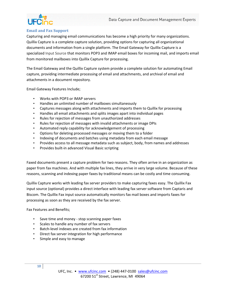

### **Email and Fax Support**

Capturing and managing email communications has become a high priority for many organizations. Quillix Capture is a complete capture solution, providing options for capturing all organizational documents and information from a single platform. The Email Gateway for Quillix Capture is a specialized Input Source that monitors POP3 and IMAP email boxes for incoming mail, and imports email from monitored mailboxes into Quillix Capture for processing.

The Email Gateway and the Quillix Capture system provide a complete solution for automating Email capture, providing intermediate processing of email and attachments, and archival of email and attachments in a document repository.

Email Gateway Features Include;

- Works with POP3 or IMAP servers
- Handles an unlimited number of mailboxes simultaneously
- Captures messages along with attachments and imports them to Quillix for processing
- Handles all email attachments and splits images apart into individual pages
- Rules for rejection of messages from unauthorized addresses
- Rules for rejection of messages with invalid attachments or image DPIs
- Automated reply capability for acknowledgement of processing
- Options for deleting processed messages or moving them to a folder
- Indexing of documents and batches using metadata from each email message
- Provides access to all message metadata such as subject, body, from names and addresses
- Provides built‐in advanced Visual Basic scripting

Faxed documents present a capture problem for two reasons. They often arrive in an organization as paper from fax machines. And with multiple fax lines, they arrive in very large volume. Because of these reasons, scanning and indexing paper faxes by traditional means can be costly and time consuming.

Quillix Capture works with leading fax server providers to make capturing faxes easy. The Quillix Fax input source (optional) provides a direct interface with leading fax server software from Captaris and Biscom. The Quillix Fax input source automatically monitors fax mail boxes and imports faxes for processing as soon as they are received by the fax server.

Fax Features and Benefits;

- Save time and money stop scanning paper faxes
- Scales to handle any number of fax servers
- Batch‐level indexes are created from fax information
- Direct fax server integration for high performance
- Simple and easy to manage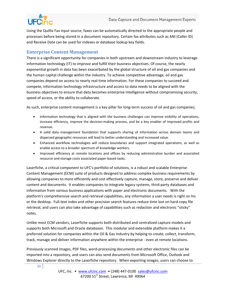

Using the Quillix Fax input source, faxes can be automatically directed to the appropriate people and processes before being stored in a document repository. Certain fax attributes such as ANI (Caller ID) and Receive Date can be used for indexes or database lookup key fields.

## **Enterprise Content Management**

There is a significant opportunity for companies in both upstream and downstream industry to leverage information technology (IT) to improve and fulfill their business objectives. Of course, the nearly exponential growth in data has been exacerbated by the global structure of oil and gas companies and the human capital challenge within the industry. To achieve competitive advantage, oil and gas companies depend on access to nearly real‐time information. For these companies to succeed and compete, information technology infrastructure and access to data needs to be aligned with the business objectives to ensure that data becomes enterprise intelligence without compromising security, speed of access, or the ability to collaborate.

As such, enterprise content management is a key pillar for long-term success of oil and gas companies;

- Information technology that is aligned with the business challenges can improve visibility of operations, increase efficiency, improve the decision‐making process, and be a key enabler of improved profits and revenue.
- A solid data management foundation that supports sharing of information across domain teams and dispersed geographic resources will lead to better understanding and increased value.
- Enhanced workflow technologies will reduce boundaries and support integrated operations, as well as enable access to a broader spectrum of knowledge workers.
- Improved efficiency at remote locations and offices by reducing administrative burden and associated resource and storage costs associated paper‐based tasks.

Laserfiche, a critical component to UFC's portfolio of solutions, is a robust and scalable Enterprise Content Management (ECM) suite of products designed to address complex business requirements by allowing companies to more efficiently and cost effectively capture, manage, store, preserve and deliver content and documents. It enables companies to integrate legacy systems, third‐party databases and information from various business applications with paper and electronic documents. With the platform's comprehensive search and retrieval capabilities, any information a user needs is right on his or the desktop. Full‐text index and other precision search features reduce time lost on hard‐copy file retrieval, and users can also take advantage of capabilities such as redaction and electronic "sticky" notes.

Unlike most ECM vendors, Laserfiche supports both distributed and centralized capture models and supports both Microsoft and Oracle databases. This modular and extensible platform makes it a preferred solution for companies within the Oil & Gas Industry by helping to create, collect, transform, track, manage and deliver information anywhere within the enterprise ‐ even at remote locations.

Previously scanned images, PDF files, word‐processing documents and other electronic files can be imported into a repository, and users can also send documents from Microsoft Office, Outlook and Windows Explorer directly to the Laserfiche repository. When exporting images, users can choose to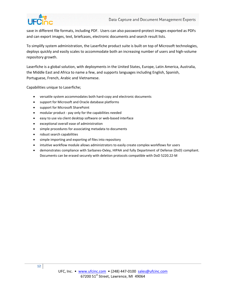

save in different file formats, including PDF. Users can also password-protect images exported as PDFs and can export images, text, briefcases, electronic documents and search result lists.

To simplify system administration, the Laserfiche product suite is built on top of Microsoft technologies, deploys quickly and easily scales to accommodate both an increasing number of users and high‐volume repository growth.

Laserfiche is a global solution, with deployments in the United States, Europe, Latin America, Australia, the Middle East and Africa to name a few, and supports languages including English, Spanish, Portuguese, French, Arabic and Vietnamese.

Capabilities unique to Laserfiche;

- versatile system accommodates both hard‐copy and electronic documents
- support for Microsoft and Oracle database platforms
- support for Microsoft SharePoint
- modular product ‐ pay only for the capabilities needed
- easy to use via client desktop software or web-based interface
- exceptional overall ease of administration
- simple procedures for associating metadata to documents
- robust search capabilities
- simple importing and exporting of files into repository
- intuitive workflow module allows administrators to easily create complex workflows for users
- demonstrates compliance with Sarbanes-Oxley, HIPAA and fully Department of Defense (DoD) compliant. Documents can be erased securely with deletion protocols compatible with DoD 5220.22‐M